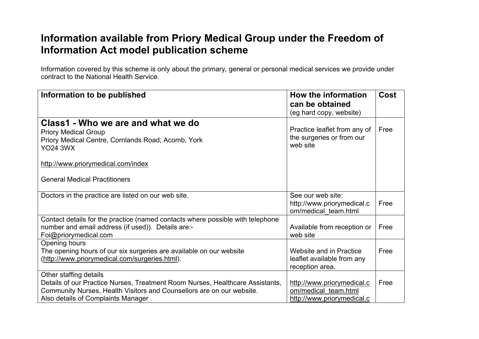## **Information available from Priory Medical Group under the Freedom of Information Act model publication scheme**

Information covered by this scheme is only about the primary, general or personal medical services we provide under contract to the National Health Service.

| Information to be published                                                                                                                                                                                            | How the information<br>can be obtained                                           | <b>Cost</b> |
|------------------------------------------------------------------------------------------------------------------------------------------------------------------------------------------------------------------------|----------------------------------------------------------------------------------|-------------|
|                                                                                                                                                                                                                        | (eg hard copy, website)                                                          |             |
| Class1 - Who we are and what we do<br><b>Priory Medical Group</b><br>Priory Medical Centre, Cornlands Road, Acomb, York<br><b>YO24 3WX</b>                                                                             | Practice leaflet from any of<br>the surgeries or from our<br>web site            | Free        |
| http://www.priorymedical.com/index                                                                                                                                                                                     |                                                                                  |             |
| <b>General Medical Practitioners</b>                                                                                                                                                                                   |                                                                                  |             |
| Doctors in the practice are listed on our web site.                                                                                                                                                                    | See our web site:<br>http://www.priorymedical.c<br>om/medical team.html          | Free        |
| Contact details for the practice (named contacts where possible with telephone<br>number and email address (if used)). Details are:-<br>Foi@priorymedical.com                                                          | Available from reception or<br>web site                                          | Free        |
| Opening hours<br>The opening hours of our six surgeries are available on our website<br>(http://www.priorymedical.com/surgeries.html).                                                                                 | Website and in Practice<br>leaflet available from any<br>reception area.         | Free        |
| Other staffing details<br>Details of our Practice Nurses, Treatment Room Nurses, Healthcare Assistants,<br>Community Nurses, Health Visitors and Counsellors are on our website.<br>Also details of Complaints Manager | http://www.priorymedical.c<br>om/medical team.html<br>http://www.priorymedical.c | Free        |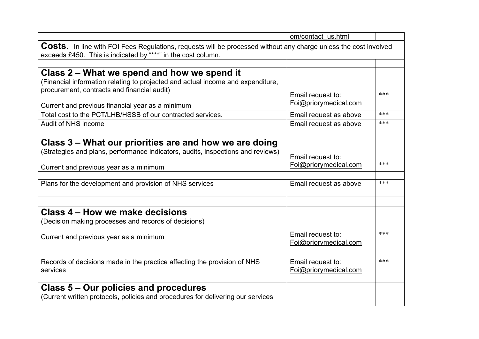|                                                                                                                         | om/contact_us.html                         |     |
|-------------------------------------------------------------------------------------------------------------------------|--------------------------------------------|-----|
| <b>Costs.</b> In line with FOI Fees Regulations, requests will be processed without any charge unless the cost involved |                                            |     |
| exceeds £450. This is indicated by "***" in the cost column.                                                            |                                            |     |
|                                                                                                                         |                                            |     |
| Class 2 – What we spend and how we spend it                                                                             |                                            |     |
| (Financial information relating to projected and actual income and expenditure,                                         |                                            |     |
| procurement, contracts and financial audit)                                                                             | Email request to:                          | *** |
|                                                                                                                         | Foi@priorymedical.com                      |     |
| Current and previous financial year as a minimum                                                                        |                                            | *** |
| Total cost to the PCT/LHB/HSSB of our contracted services.                                                              | Email request as above                     |     |
| Audit of NHS income                                                                                                     | Email request as above                     | *** |
|                                                                                                                         |                                            |     |
| Class 3 – What our priorities are and how we are doing                                                                  |                                            |     |
| (Strategies and plans, performance indicators, audits, inspections and reviews)                                         | Email request to:                          |     |
|                                                                                                                         | Foi@priorymedical.com                      | *** |
| Current and previous year as a minimum                                                                                  |                                            |     |
|                                                                                                                         |                                            | *** |
| Plans for the development and provision of NHS services                                                                 | Email request as above                     |     |
|                                                                                                                         |                                            |     |
|                                                                                                                         |                                            |     |
| Class 4 – How we make decisions                                                                                         |                                            |     |
| (Decision making processes and records of decisions)                                                                    |                                            |     |
|                                                                                                                         | Email request to:                          | *** |
| Current and previous year as a minimum                                                                                  | Foi@priorymedical.com                      |     |
|                                                                                                                         |                                            |     |
|                                                                                                                         |                                            | *** |
| Records of decisions made in the practice affecting the provision of NHS<br>services                                    | Email request to:<br>Foi@priorymedical.com |     |
|                                                                                                                         |                                            |     |
|                                                                                                                         |                                            |     |
| Class 5 – Our policies and procedures                                                                                   |                                            |     |
| (Current written protocols, policies and procedures for delivering our services                                         |                                            |     |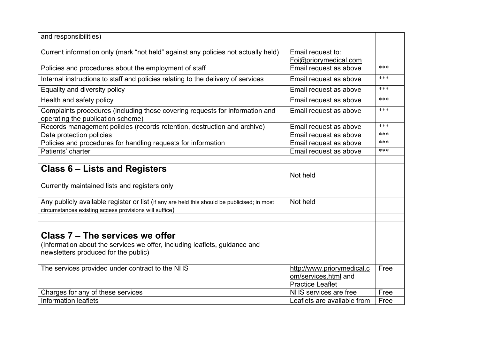| and responsibilities)                                                                                                                                 |                                                                               |       |
|-------------------------------------------------------------------------------------------------------------------------------------------------------|-------------------------------------------------------------------------------|-------|
| Current information only (mark "not held" against any policies not actually held)                                                                     | Email request to:<br>Foi@priorymedical.com                                    |       |
| Policies and procedures about the employment of staff                                                                                                 | Email request as above                                                        | ***   |
| Internal instructions to staff and policies relating to the delivery of services                                                                      | Email request as above                                                        | $***$ |
| Equality and diversity policy                                                                                                                         | Email request as above                                                        | ***   |
| Health and safety policy                                                                                                                              | Email request as above                                                        | ***   |
| Complaints procedures (including those covering requests for information and<br>operating the publication scheme)                                     | Email request as above                                                        | ***   |
| Records management policies (records retention, destruction and archive)                                                                              | Email request as above                                                        | ***   |
| Data protection policies                                                                                                                              | Email request as above                                                        | ***   |
| Policies and procedures for handling requests for information                                                                                         | Email request as above                                                        | ***   |
| Patients' charter                                                                                                                                     | Email request as above                                                        | ***   |
|                                                                                                                                                       |                                                                               |       |
| <b>Class 6 – Lists and Registers</b>                                                                                                                  | Not held                                                                      |       |
| Currently maintained lists and registers only                                                                                                         |                                                                               |       |
| Any publicly available register or list (if any are held this should be publicised; in most<br>circumstances existing access provisions will suffice) | Not held                                                                      |       |
|                                                                                                                                                       |                                                                               |       |
| Class 7 - The services we offer                                                                                                                       |                                                                               |       |
| (Information about the services we offer, including leaflets, guidance and                                                                            |                                                                               |       |
| newsletters produced for the public)                                                                                                                  |                                                                               |       |
| The services provided under contract to the NHS                                                                                                       | http://www.priorymedical.c<br>om/services.html and<br><b>Practice Leaflet</b> | Free  |
| Charges for any of these services                                                                                                                     | NHS services are free                                                         | Free  |
| <b>Information leaflets</b>                                                                                                                           | Leaflets are available from                                                   | Free  |